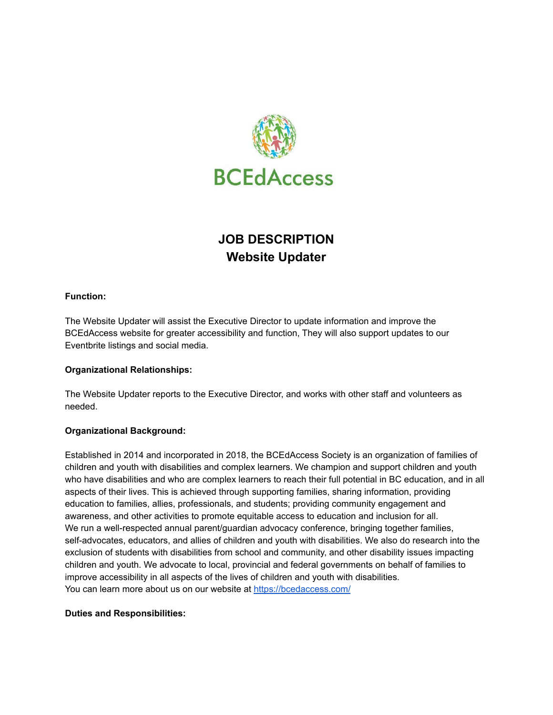

# **JOB DESCRIPTION Website Updater**

## **Function:**

The Website Updater will assist the Executive Director to update information and improve the BCEdAccess website for greater accessibility and function, They will also support updates to our Eventbrite listings and social media.

#### **Organizational Relationships:**

The Website Updater reports to the Executive Director, and works with other staff and volunteers as needed.

#### **Organizational Background:**

Established in 2014 and incorporated in 2018, the BCEdAccess Society is an organization of families of children and youth with disabilities and complex learners. We champion and support children and youth who have disabilities and who are complex learners to reach their full potential in BC education, and in all aspects of their lives. This is achieved through supporting families, sharing information, providing education to families, allies, professionals, and students; providing community engagement and awareness, and other activities to promote equitable access to education and inclusion for all. We run a well-respected annual parent/guardian advocacy conference, bringing together families, self-advocates, educators, and allies of children and youth with disabilities. We also do research into the exclusion of students with disabilities from school and community, and other disability issues impacting children and youth. We advocate to local, provincial and federal governments on behalf of families to improve accessibility in all aspects of the lives of children and youth with disabilities. You can learn more about us on our website at <https://bcedaccess.com/>

#### **Duties and Responsibilities:**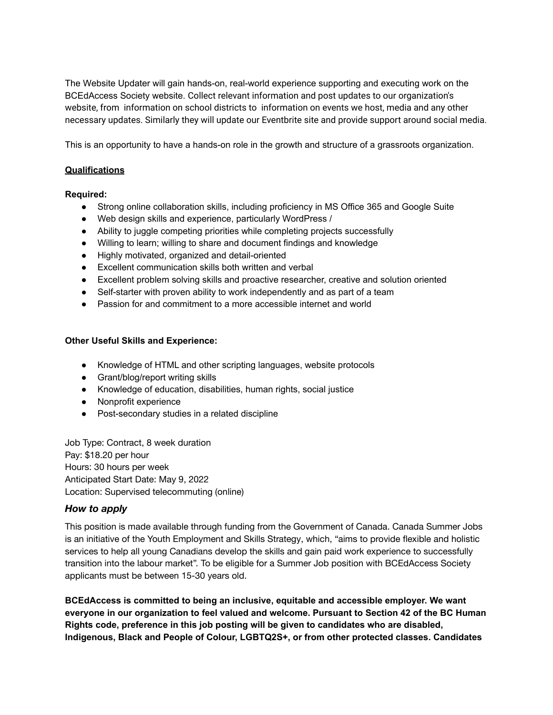The Website Updater will gain hands-on, real-world experience supporting and executing work on the BCEdAccess Society website. Collect relevant information and post updates to our organization's website, from information on school districts to information on events we host, media and any other necessary updates. Similarly they will update our Eventbrite site and provide support around social media.

This is an opportunity to have a hands-on role in the growth and structure of a grassroots organization.

### **Qualifications**

#### **Required:**

- Strong online collaboration skills, including proficiency in MS Office 365 and Google Suite
- Web design skills and experience, particularly WordPress /
- Ability to juggle competing priorities while completing projects successfully
- Willing to learn; willing to share and document findings and knowledge
- Highly motivated, organized and detail-oriented
- Excellent communication skills both written and verbal
- Excellent problem solving skills and proactive researcher, creative and solution oriented
- Self-starter with proven ability to work independently and as part of a team
- Passion for and commitment to a more accessible internet and world

#### **Other Useful Skills and Experience:**

- Knowledge of HTML and other scripting languages, website protocols
- Grant/blog/report writing skills
- Knowledge of education, disabilities, human rights, social justice
- Nonprofit experience
- Post-secondary studies in a related discipline

Job Type: Contract, 8 week duration Pay: \$18.20 per hour Hours: 30 hours per week Anticipated Start Date: May 9, 2022 Location: Supervised telecommuting (online)

## *How to apply*

This position is made available through funding from the Government of Canada. Canada Summer Jobs is an initiative of the Youth Employment and Skills Strategy, which, "aims to provide flexible and holistic services to help all young Canadians develop the skills and gain paid work experience to successfully transition into the labour market". To be eligible for a Summer Job position with BCEdAccess Society applicants must be between 15-30 years old.

**BCEdAccess is committed to being an inclusive, equitable and accessible employer. We want everyone in our organization to feel valued and welcome. Pursuant to Section 42 of the BC Human Rights code, preference in this job posting will be given to candidates who are disabled, Indigenous, Black and People of Colour, LGBTQ2S+, or from other protected classes. Candidates**